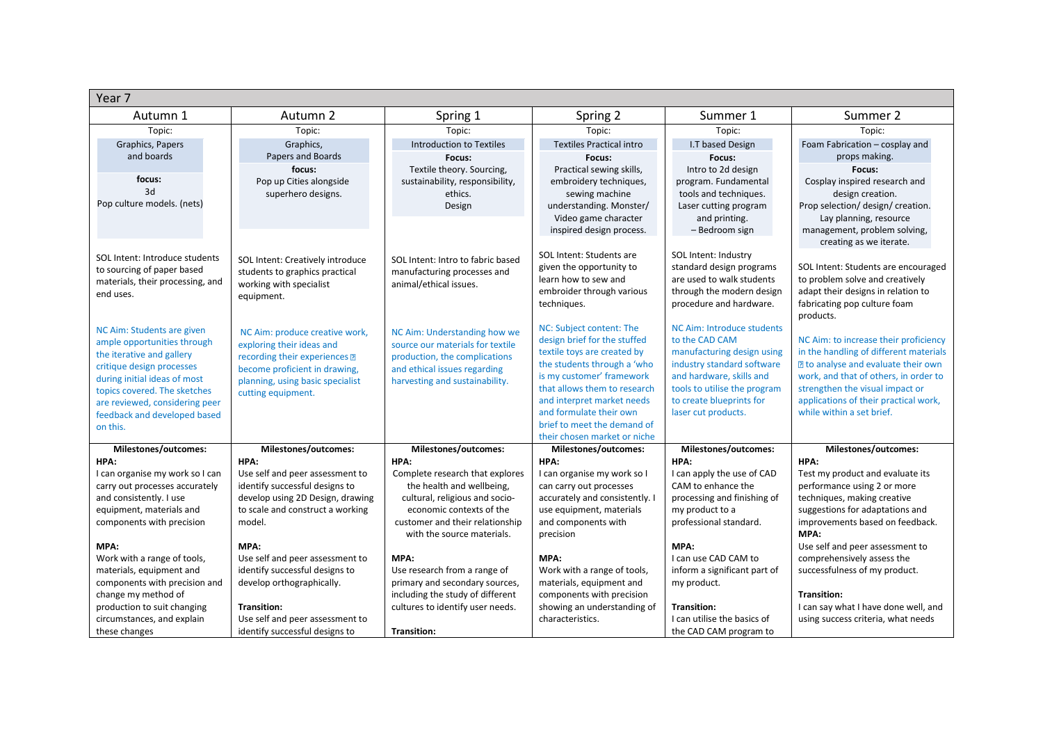| Year 7                                                                                                                                                                                                                                                            |                                                                                                                                                                                         |                                                                                                                                                                                             |                                                                                                                                                                                                                                                                                                             |                                                                                                                                                                                                                         |                                                                                                                                                                                                                                                                                 |
|-------------------------------------------------------------------------------------------------------------------------------------------------------------------------------------------------------------------------------------------------------------------|-----------------------------------------------------------------------------------------------------------------------------------------------------------------------------------------|---------------------------------------------------------------------------------------------------------------------------------------------------------------------------------------------|-------------------------------------------------------------------------------------------------------------------------------------------------------------------------------------------------------------------------------------------------------------------------------------------------------------|-------------------------------------------------------------------------------------------------------------------------------------------------------------------------------------------------------------------------|---------------------------------------------------------------------------------------------------------------------------------------------------------------------------------------------------------------------------------------------------------------------------------|
| Autumn 1                                                                                                                                                                                                                                                          | Autumn 2                                                                                                                                                                                | Spring 1                                                                                                                                                                                    | Spring 2                                                                                                                                                                                                                                                                                                    | Summer 1                                                                                                                                                                                                                | Summer 2                                                                                                                                                                                                                                                                        |
| Topic:                                                                                                                                                                                                                                                            | Topic:                                                                                                                                                                                  | Topic:                                                                                                                                                                                      | Topic:                                                                                                                                                                                                                                                                                                      | Topic:                                                                                                                                                                                                                  | Topic:                                                                                                                                                                                                                                                                          |
| Graphics, Papers                                                                                                                                                                                                                                                  | Graphics,                                                                                                                                                                               | <b>Introduction to Textiles</b>                                                                                                                                                             | <b>Textiles Practical intro</b>                                                                                                                                                                                                                                                                             | I.T based Design                                                                                                                                                                                                        | Foam Fabrication - cosplay and                                                                                                                                                                                                                                                  |
| and boards                                                                                                                                                                                                                                                        | Papers and Boards                                                                                                                                                                       | Focus:                                                                                                                                                                                      | Focus:                                                                                                                                                                                                                                                                                                      | Focus:                                                                                                                                                                                                                  | props making.                                                                                                                                                                                                                                                                   |
| focus:<br>3d<br>Pop culture models. (nets)                                                                                                                                                                                                                        | focus:<br>Pop up Cities alongside<br>superhero designs.                                                                                                                                 | Textile theory. Sourcing,<br>sustainability, responsibility,<br>ethics.<br>Design                                                                                                           | Practical sewing skills,<br>embroidery techniques,<br>sewing machine<br>understanding. Monster/<br>Video game character<br>inspired design process.                                                                                                                                                         | Intro to 2d design<br>program. Fundamental<br>tools and techniques.<br>Laser cutting program<br>and printing.<br>- Bedroom sign                                                                                         | Focus:<br>Cosplay inspired research and<br>design creation.<br>Prop selection/ design/ creation.<br>Lay planning, resource<br>management, problem solving,                                                                                                                      |
| SOL Intent: Introduce students<br>to sourcing of paper based<br>materials, their processing, and<br>end uses.                                                                                                                                                     | SOL Intent: Creatively introduce<br>students to graphics practical<br>working with specialist<br>equipment.                                                                             | SOL Intent: Intro to fabric based<br>manufacturing processes and<br>animal/ethical issues.                                                                                                  | SOL Intent: Students are<br>given the opportunity to<br>learn how to sew and<br>embroider through various<br>techniques.                                                                                                                                                                                    | SOL Intent: Industry<br>standard design programs<br>are used to walk students<br>through the modern design<br>procedure and hardware.                                                                                   | creating as we iterate.<br>SOL Intent: Students are encouraged<br>to problem solve and creatively<br>adapt their designs in relation to<br>fabricating pop culture foam<br>products.                                                                                            |
| NC Aim: Students are given<br>ample opportunities through<br>the iterative and gallery<br>critique design processes<br>during initial ideas of most<br>topics covered. The sketches<br>are reviewed, considering peer<br>feedback and developed based<br>on this. | NC Aim: produce creative work,<br>exploring their ideas and<br>recording their experiences 2<br>become proficient in drawing,<br>planning, using basic specialist<br>cutting equipment. | NC Aim: Understanding how we<br>source our materials for textile<br>production, the complications<br>and ethical issues regarding<br>harvesting and sustainability.                         | NC: Subject content: The<br>design brief for the stuffed<br>textile toys are created by<br>the students through a 'who<br>is my customer' framework<br>that allows them to research<br>and interpret market needs<br>and formulate their own<br>brief to meet the demand of<br>their chosen market or niche | NC Aim: Introduce students<br>to the CAD CAM<br>manufacturing design using<br>industry standard software<br>and hardware, skills and<br>tools to utilise the program<br>to create blueprints for<br>laser cut products. | NC Aim: to increase their proficiency<br>in the handling of different materials<br><b>P</b> to analyse and evaluate their own<br>work, and that of others, in order to<br>strengthen the visual impact or<br>applications of their practical work,<br>while within a set brief. |
| Milestones/outcomes:                                                                                                                                                                                                                                              | Milestones/outcomes:                                                                                                                                                                    | Milestones/outcomes:                                                                                                                                                                        | Milestones/outcomes:                                                                                                                                                                                                                                                                                        | Milestones/outcomes:                                                                                                                                                                                                    | Milestones/outcomes:                                                                                                                                                                                                                                                            |
| HPA:                                                                                                                                                                                                                                                              | HPA:                                                                                                                                                                                    | HPA:                                                                                                                                                                                        | HPA:<br>I can organise my work so I                                                                                                                                                                                                                                                                         | HPA:<br>I can apply the use of CAD                                                                                                                                                                                      | HPA:<br>Test my product and evaluate its                                                                                                                                                                                                                                        |
| I can organise my work so I can<br>carry out processes accurately<br>and consistently. I use<br>equipment, materials and<br>components with precision                                                                                                             | Use self and peer assessment to<br>identify successful designs to<br>develop using 2D Design, drawing<br>to scale and construct a working<br>model.                                     | Complete research that explores<br>the health and wellbeing,<br>cultural, religious and socio-<br>economic contexts of the<br>customer and their relationship<br>with the source materials. | can carry out processes<br>accurately and consistently. I<br>use equipment, materials<br>and components with<br>precision                                                                                                                                                                                   | CAM to enhance the<br>processing and finishing of<br>my product to a<br>professional standard.                                                                                                                          | performance using 2 or more<br>techniques, making creative<br>suggestions for adaptations and<br>improvements based on feedback.<br>MPA:                                                                                                                                        |
| MPA:                                                                                                                                                                                                                                                              | MPA:                                                                                                                                                                                    |                                                                                                                                                                                             |                                                                                                                                                                                                                                                                                                             | MPA:                                                                                                                                                                                                                    | Use self and peer assessment to                                                                                                                                                                                                                                                 |
| Work with a range of tools,                                                                                                                                                                                                                                       | Use self and peer assessment to                                                                                                                                                         | MPA:                                                                                                                                                                                        | MPA:                                                                                                                                                                                                                                                                                                        | I can use CAD CAM to                                                                                                                                                                                                    | comprehensively assess the                                                                                                                                                                                                                                                      |
| materials, equipment and                                                                                                                                                                                                                                          | identify successful designs to                                                                                                                                                          | Use research from a range of                                                                                                                                                                | Work with a range of tools,                                                                                                                                                                                                                                                                                 | inform a significant part of                                                                                                                                                                                            | successfulness of my product.                                                                                                                                                                                                                                                   |
| components with precision and                                                                                                                                                                                                                                     | develop orthographically.                                                                                                                                                               | primary and secondary sources,                                                                                                                                                              | materials, equipment and                                                                                                                                                                                                                                                                                    | my product.                                                                                                                                                                                                             |                                                                                                                                                                                                                                                                                 |
| change my method of<br>production to suit changing                                                                                                                                                                                                                | <b>Transition:</b>                                                                                                                                                                      | including the study of different<br>cultures to identify user needs.                                                                                                                        | components with precision<br>showing an understanding of                                                                                                                                                                                                                                                    | <b>Transition:</b>                                                                                                                                                                                                      | <b>Transition:</b><br>I can say what I have done well, and                                                                                                                                                                                                                      |
| circumstances, and explain<br>these changes                                                                                                                                                                                                                       | Use self and peer assessment to<br>identify successful designs to                                                                                                                       | <b>Transition:</b>                                                                                                                                                                          | characteristics.                                                                                                                                                                                                                                                                                            | I can utilise the basics of<br>the CAD CAM program to                                                                                                                                                                   | using success criteria, what needs                                                                                                                                                                                                                                              |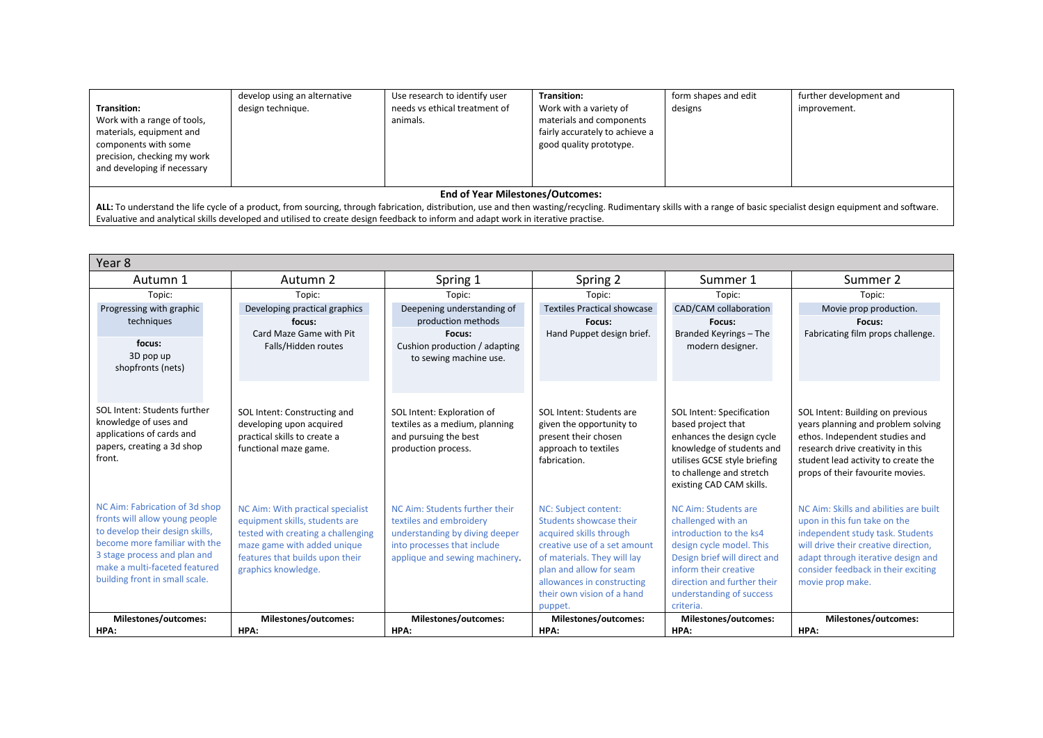|                                                                                                                                                                                                                      | develop using an alternative | Use research to identify user             | Transition:                                                                                                     | form shapes and edit | further development and |  |
|----------------------------------------------------------------------------------------------------------------------------------------------------------------------------------------------------------------------|------------------------------|-------------------------------------------|-----------------------------------------------------------------------------------------------------------------|----------------------|-------------------------|--|
| <b>Transition:</b><br>Work with a range of tools,<br>materials, equipment and<br>components with some<br>precision, checking my work<br>and developing if necessary                                                  | design technique.            | needs vs ethical treatment of<br>animals. | Work with a variety of<br>materials and components<br>fairly accurately to achieve a<br>good quality prototype. | designs              | improvement.            |  |
|                                                                                                                                                                                                                      |                              |                                           |                                                                                                                 |                      |                         |  |
| <b>End of Year Milestones/Outcomes:</b>                                                                                                                                                                              |                              |                                           |                                                                                                                 |                      |                         |  |
| ALL: To understand the life cycle of a product, from sourcing, through fabrication, distribution, use and then wasting/recycling. Rudimentary skills with a range of basic specialist design equipment and software. |                              |                                           |                                                                                                                 |                      |                         |  |

Evaluative and analytical skills developed and utilised to create design feedback to inform and adapt work in iterative practise.

| Year 8                                                                                                                                                                                                                                  |                                                                                                                                                                                                    |                                                                                                                                                              |                                                                                                                                                                                                                                             |                                                                                                                                                                                                                                    |                                                                                                                                                                                                                                                     |
|-----------------------------------------------------------------------------------------------------------------------------------------------------------------------------------------------------------------------------------------|----------------------------------------------------------------------------------------------------------------------------------------------------------------------------------------------------|--------------------------------------------------------------------------------------------------------------------------------------------------------------|---------------------------------------------------------------------------------------------------------------------------------------------------------------------------------------------------------------------------------------------|------------------------------------------------------------------------------------------------------------------------------------------------------------------------------------------------------------------------------------|-----------------------------------------------------------------------------------------------------------------------------------------------------------------------------------------------------------------------------------------------------|
| Autumn 1                                                                                                                                                                                                                                | Autumn 2                                                                                                                                                                                           | Spring 1                                                                                                                                                     | Spring 2                                                                                                                                                                                                                                    | Summer 1                                                                                                                                                                                                                           | Summer 2                                                                                                                                                                                                                                            |
| Topic:                                                                                                                                                                                                                                  | Topic:                                                                                                                                                                                             | Topic:                                                                                                                                                       | Topic:                                                                                                                                                                                                                                      | Topic:                                                                                                                                                                                                                             | Topic:                                                                                                                                                                                                                                              |
| Progressing with graphic                                                                                                                                                                                                                | Developing practical graphics                                                                                                                                                                      | Deepening understanding of                                                                                                                                   | <b>Textiles Practical showcase</b>                                                                                                                                                                                                          | CAD/CAM collaboration                                                                                                                                                                                                              | Movie prop production.                                                                                                                                                                                                                              |
| techniques                                                                                                                                                                                                                              | focus:                                                                                                                                                                                             | production methods                                                                                                                                           | Focus:                                                                                                                                                                                                                                      | Focus:                                                                                                                                                                                                                             | Focus:                                                                                                                                                                                                                                              |
| focus:<br>3D pop up<br>shopfronts (nets)                                                                                                                                                                                                | Card Maze Game with Pit<br>Falls/Hidden routes                                                                                                                                                     | Focus:<br>Cushion production / adapting<br>to sewing machine use.                                                                                            | Hand Puppet design brief.                                                                                                                                                                                                                   | Branded Keyrings - The<br>modern designer.                                                                                                                                                                                         | Fabricating film props challenge.                                                                                                                                                                                                                   |
| SOL Intent: Students further<br>knowledge of uses and<br>applications of cards and<br>papers, creating a 3d shop<br>front.                                                                                                              | SOL Intent: Constructing and<br>developing upon acquired<br>practical skills to create a<br>functional maze game.                                                                                  | SOL Intent: Exploration of<br>textiles as a medium, planning<br>and pursuing the best<br>production process.                                                 | SOL Intent: Students are<br>given the opportunity to<br>present their chosen<br>approach to textiles<br>fabrication.                                                                                                                        | SOL Intent: Specification<br>based project that<br>enhances the design cycle<br>knowledge of students and<br>utilises GCSE style briefing<br>to challenge and stretch<br>existing CAD CAM skills.                                  | SOL Intent: Building on previous<br>years planning and problem solving<br>ethos. Independent studies and<br>research drive creativity in this<br>student lead activity to create the<br>props of their favourite movies.                            |
| NC Aim: Fabrication of 3d shop<br>fronts will allow young people<br>to develop their design skills,<br>become more familiar with the<br>3 stage process and plan and<br>make a multi-faceted featured<br>building front in small scale. | NC Aim: With practical specialist<br>equipment skills, students are<br>tested with creating a challenging<br>maze game with added unique<br>features that builds upon their<br>graphics knowledge. | NC Aim: Students further their<br>textiles and embroidery<br>understanding by diving deeper<br>into processes that include<br>applique and sewing machinery. | NC: Subject content:<br>Students showcase their<br>acquired skills through<br>creative use of a set amount<br>of materials. They will lay<br>plan and allow for seam<br>allowances in constructing<br>their own vision of a hand<br>puppet. | NC Aim: Students are<br>challenged with an<br>introduction to the ks4<br>design cycle model. This<br>Design brief will direct and<br>inform their creative<br>direction and further their<br>understanding of success<br>criteria. | NC Aim: Skills and abilities are built<br>upon in this fun take on the<br>independent study task. Students<br>will drive their creative direction.<br>adapt through iterative design and<br>consider feedback in their exciting<br>movie prop make. |
| Milestones/outcomes:                                                                                                                                                                                                                    | Milestones/outcomes:                                                                                                                                                                               | Milestones/outcomes:                                                                                                                                         | Milestones/outcomes:                                                                                                                                                                                                                        | Milestones/outcomes:                                                                                                                                                                                                               | Milestones/outcomes:                                                                                                                                                                                                                                |
| HPA:                                                                                                                                                                                                                                    | HPA:                                                                                                                                                                                               | HPA:                                                                                                                                                         | HPA:                                                                                                                                                                                                                                        | HPA:                                                                                                                                                                                                                               | HPA:                                                                                                                                                                                                                                                |